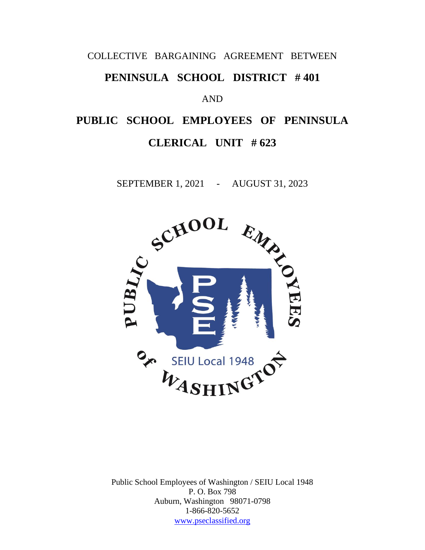### COLLECTIVE BARGAINING AGREEMENT BETWEEN

# **PENINSULA SCHOOL DISTRICT # 401**

### AND

# **PUBLIC SCHOOL EMPLOYEES OF PENINSULA CLERICAL UNIT # 623**

SEPTEMBER 1, 2021 - AUGUST 31, 2023



Public School Employees of Washington / SEIU Local 1948 P. O. Box 798 Auburn, Washington 98071-0798 1-866-820-5652 [www.pseclassified.org](http://www.pseclassified.org/)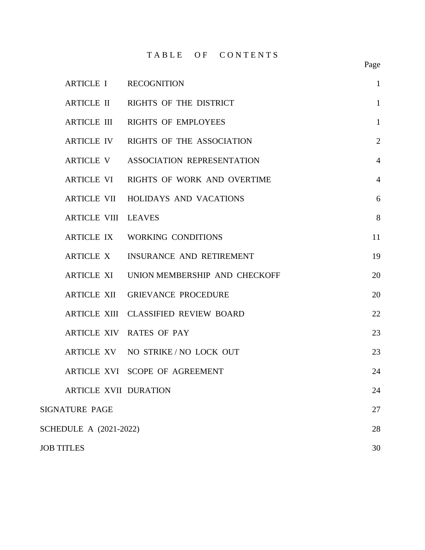TABLE OF CONTENTS

|                               | ARTICLE I RECOGNITION                  | $\mathbf{1}$   |
|-------------------------------|----------------------------------------|----------------|
|                               | ARTICLE II RIGHTS OF THE DISTRICT      | $\mathbf{1}$   |
|                               | ARTICLE III RIGHTS OF EMPLOYEES        | $\mathbf{1}$   |
|                               | ARTICLE IV RIGHTS OF THE ASSOCIATION   | $\overline{2}$ |
|                               | ARTICLE V ASSOCIATION REPRESENTATION   | $\overline{4}$ |
|                               | ARTICLE VI RIGHTS OF WORK AND OVERTIME | $\overline{4}$ |
|                               | ARTICLE VII HOLIDAYS AND VACATIONS     | 6              |
| <b>ARTICLE VIII LEAVES</b>    |                                        | 8              |
|                               | ARTICLE IX WORKING CONDITIONS          | 11             |
|                               | ARTICLE X INSURANCE AND RETIREMENT     | 19             |
| <b>ARTICLE XI</b>             | UNION MEMBERSHIP AND CHECKOFF          | 20             |
|                               | ARTICLE XII GRIEVANCE PROCEDURE        | 20             |
|                               | ARTICLE XIII CLASSIFIED REVIEW BOARD   | 22             |
|                               | ARTICLE XIV RATES OF PAY               | 23             |
|                               | ARTICLE XV NO STRIKE/NO LOCK OUT       | 23             |
|                               | ARTICLE XVI SCOPE OF AGREEMENT         | 24             |
| <b>ARTICLE XVII DURATION</b>  |                                        | 24             |
| <b>SIGNATURE PAGE</b>         |                                        | 27             |
| <b>SCHEDULE A (2021-2022)</b> |                                        | 28             |
| <b>JOB TITLES</b>             |                                        | 30             |

Page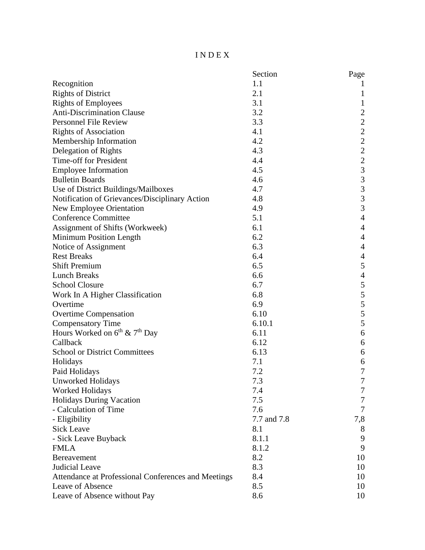### I N D E X

|                                                     | Section     | Page                                       |
|-----------------------------------------------------|-------------|--------------------------------------------|
| Recognition                                         | 1.1         |                                            |
| <b>Rights of District</b>                           | 2.1         | 1                                          |
| <b>Rights of Employees</b>                          | 3.1         | $\mathbf{1}$                               |
| <b>Anti-Discrimination Clause</b>                   | 3.2         | $\sqrt{2}$                                 |
| <b>Personnel File Review</b>                        | 3.3         | $\overline{c}$                             |
| <b>Rights of Association</b>                        | 4.1         | $\overline{c}$                             |
| Membership Information                              | 4.2         | $\overline{c}$                             |
| Delegation of Rights                                | 4.3         |                                            |
| Time-off for President                              | 4.4         | $\begin{array}{c} 2 \\ 2 \\ 3 \end{array}$ |
| <b>Employee Information</b>                         | 4.5         |                                            |
| <b>Bulletin Boards</b>                              | 4.6         |                                            |
| Use of District Buildings/Mailboxes                 | 4.7         | $\frac{3}{3}$                              |
| Notification of Grievances/Disciplinary Action      | 4.8         | 3                                          |
| <b>New Employee Orientation</b>                     | 4.9         | $\overline{3}$                             |
| <b>Conference Committee</b>                         | 5.1         | $\overline{4}$                             |
| Assignment of Shifts (Workweek)                     | 6.1         | $\overline{4}$                             |
| Minimum Position Length                             | 6.2         | $\overline{4}$                             |
| Notice of Assignment                                | 6.3         | $\overline{4}$                             |
| <b>Rest Breaks</b>                                  | 6.4         | $\overline{4}$                             |
| <b>Shift Premium</b>                                | 6.5         | $\mathfrak s$                              |
| <b>Lunch Breaks</b>                                 | 6.6         | $\overline{4}$                             |
| <b>School Closure</b>                               | 6.7         | 5                                          |
| Work In A Higher Classification                     | 6.8         | 5                                          |
| Overtime                                            | 6.9         | 5                                          |
| <b>Overtime Compensation</b>                        | 6.10        | $\frac{5}{5}$                              |
| <b>Compensatory Time</b>                            | 6.10.1      |                                            |
| Hours Worked on $6^{th}$ & $7^{th}$ Day             | 6.11        | $\boldsymbol{6}$                           |
| Callback                                            | 6.12        | $\boldsymbol{6}$                           |
| <b>School or District Committees</b>                | 6.13        | 6                                          |
| Holidays                                            | 7.1         | 6                                          |
| Paid Holidays                                       | 7.2         | $\boldsymbol{7}$                           |
| <b>Unworked Holidays</b>                            | 7.3         | $\overline{7}$                             |
| <b>Worked Holidays</b>                              | 7.4         | 7                                          |
| <b>Holidays During Vacation</b>                     | 7.5         | 7                                          |
| - Calculation of Time                               | 7.6         | 7                                          |
| - Eligibility                                       | 7.7 and 7.8 | 7,8                                        |
| <b>Sick Leave</b>                                   | 8.1         | 8                                          |
| - Sick Leave Buyback                                | 8.1.1       | 9                                          |
| <b>FMLA</b>                                         | 8.1.2       | 9                                          |
| <b>Bereavement</b>                                  | 8.2         | 10                                         |
| <b>Judicial Leave</b>                               | 8.3         | 10                                         |
| Attendance at Professional Conferences and Meetings | 8.4         | 10                                         |
| Leave of Absence                                    | 8.5         | 10                                         |
| Leave of Absence without Pay                        | 8.6         | 10                                         |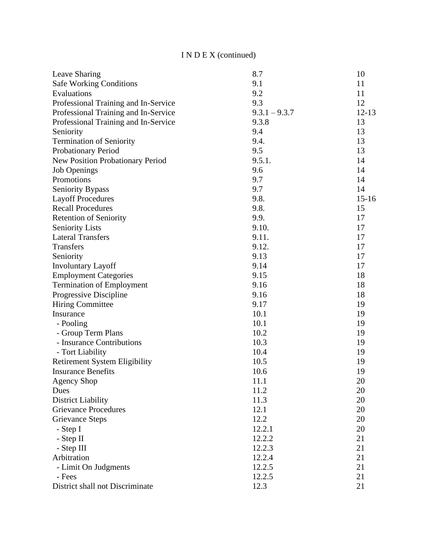# I N D E X (continued)

| Leave Sharing<br><b>Safe Working Conditions</b><br>9.1<br>11 |           |
|--------------------------------------------------------------|-----------|
|                                                              |           |
| 9.2<br>Evaluations<br>11                                     |           |
| 9.3<br>Professional Training and In-Service<br>12            |           |
| $9.3.1 - 9.3.7$<br>Professional Training and In-Service      | $12 - 13$ |
| 9.3.8<br>13<br>Professional Training and In-Service          |           |
| 9.4<br>Seniority                                             | 13        |
| 9.4.<br>13<br><b>Termination of Seniority</b>                |           |
| 9.5<br>13<br>Probationary Period                             |           |
| New Position Probationary Period<br>9.5.1.                   | 14        |
| 9.6<br><b>Job Openings</b>                                   | 14        |
| 9.7<br>Promotions                                            | 14        |
| 9.7<br><b>Seniority Bypass</b><br>14                         |           |
| 9.8.<br><b>Layoff Procedures</b>                             | $15 - 16$ |
| 9.8.<br><b>Recall Procedures</b><br>15                       |           |
| 9.9.<br><b>Retention of Seniority</b>                        | 17        |
| 9.10.<br><b>Seniority Lists</b>                              | 17        |
| <b>Lateral Transfers</b><br>9.11.                            | 17        |
| 9.12.<br>Transfers                                           | 17        |
| 9.13<br>Seniority                                            | 17        |
| 9.14<br>17<br><b>Involuntary Layoff</b>                      |           |
| 9.15<br><b>Employment Categories</b>                         | 18        |
| 9.16<br><b>Termination of Employment</b>                     | 18        |
| Progressive Discipline<br>9.16                               | 18        |
| 9.17<br><b>Hiring Committee</b>                              | 19        |
| 10.1<br>Insurance                                            | 19        |
| 10.1<br>- Pooling                                            | 19        |
| - Group Term Plans<br>10.2                                   | 19        |
| 10.3<br>- Insurance Contributions                            | 19        |
| 10.4<br>- Tort Liability                                     | 19        |
| 10.5<br><b>Retirement System Eligibility</b><br>19           |           |
| <b>Insurance Benefits</b><br>10.6<br>19                      |           |
| 20<br><b>Agency Shop</b><br>11.1                             |           |
| 11.2<br>20<br>Dues                                           |           |
| 11.3<br>20<br><b>District Liability</b>                      |           |
| <b>Grievance Procedures</b><br>12.1                          | 20        |
| 12.2<br>20<br><b>Grievance Steps</b>                         |           |
| 12.2.1<br>20<br>- Step I                                     |           |
| 12.2.2<br>21<br>- Step II                                    |           |
| - Step III<br>12.2.3<br>21                                   |           |
| Arbitration<br>21<br>12.2.4                                  |           |
| 12.2.5<br>21<br>- Limit On Judgments                         |           |
| 12.2.5<br>- Fees<br>21                                       |           |
| District shall not Discriminate<br>12.3<br>21                |           |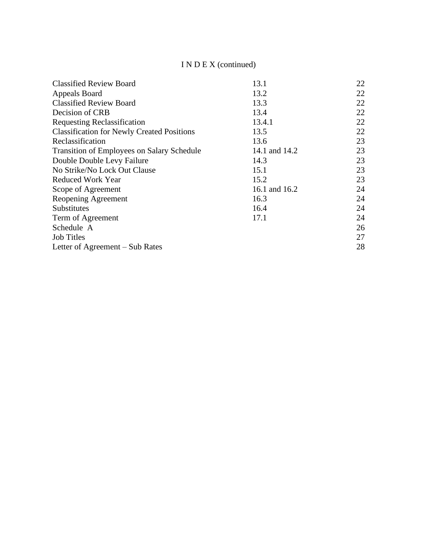# I N D E X (continued)

| <b>Classified Review Board</b>                    | 13.1          | 22 |
|---------------------------------------------------|---------------|----|
| Appeals Board                                     | 13.2          | 22 |
| <b>Classified Review Board</b>                    | 13.3          | 22 |
| Decision of CRB                                   | 13.4          | 22 |
| <b>Requesting Reclassification</b>                | 13.4.1        | 22 |
| <b>Classification for Newly Created Positions</b> | 13.5          | 22 |
| Reclassification                                  | 13.6          | 23 |
| <b>Transition of Employees on Salary Schedule</b> | 14.1 and 14.2 | 23 |
| Double Double Levy Failure                        | 14.3          | 23 |
| No Strike/No Lock Out Clause                      | 15.1          | 23 |
| Reduced Work Year                                 | 15.2          | 23 |
| Scope of Agreement                                | 16.1 and 16.2 | 24 |
| Reopening Agreement                               | 16.3          | 24 |
| <b>Substitutes</b>                                | 16.4          | 24 |
| Term of Agreement                                 | 17.1          | 24 |
| Schedule A                                        |               | 26 |
| <b>Job Titles</b>                                 |               | 27 |
| Letter of Agreement – Sub Rates                   |               | 28 |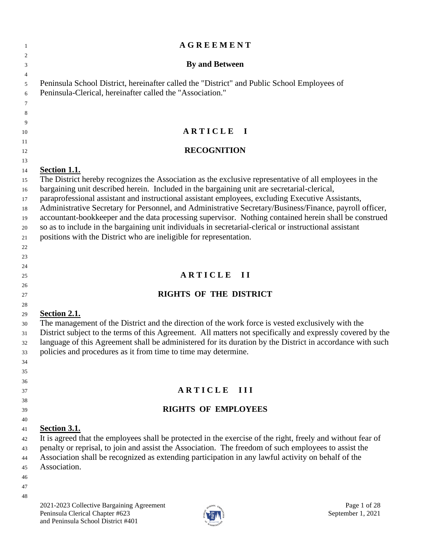| $\mathbf{1}$                                                                                             | <b>AGREEMENT</b>                                                                                                                                                                                                                                                                                                                                                                                                                                                                                                                                                                                                                                                                                                                                                                                                                                                                                   |
|----------------------------------------------------------------------------------------------------------|----------------------------------------------------------------------------------------------------------------------------------------------------------------------------------------------------------------------------------------------------------------------------------------------------------------------------------------------------------------------------------------------------------------------------------------------------------------------------------------------------------------------------------------------------------------------------------------------------------------------------------------------------------------------------------------------------------------------------------------------------------------------------------------------------------------------------------------------------------------------------------------------------|
| 2<br>3                                                                                                   | <b>By and Between</b>                                                                                                                                                                                                                                                                                                                                                                                                                                                                                                                                                                                                                                                                                                                                                                                                                                                                              |
| $\overline{4}$<br>5<br>6<br>7                                                                            | Peninsula School District, hereinafter called the "District" and Public School Employees of<br>Peninsula-Clerical, hereinafter called the "Association."                                                                                                                                                                                                                                                                                                                                                                                                                                                                                                                                                                                                                                                                                                                                           |
| 8                                                                                                        |                                                                                                                                                                                                                                                                                                                                                                                                                                                                                                                                                                                                                                                                                                                                                                                                                                                                                                    |
| 9<br>10                                                                                                  | ARTICLE I                                                                                                                                                                                                                                                                                                                                                                                                                                                                                                                                                                                                                                                                                                                                                                                                                                                                                          |
| 11                                                                                                       |                                                                                                                                                                                                                                                                                                                                                                                                                                                                                                                                                                                                                                                                                                                                                                                                                                                                                                    |
| 12                                                                                                       | <b>RECOGNITION</b>                                                                                                                                                                                                                                                                                                                                                                                                                                                                                                                                                                                                                                                                                                                                                                                                                                                                                 |
| 13<br>14<br>15<br>16<br>17<br>18<br>19<br>20<br>21<br>22<br>23<br>24<br>25<br>26<br>27<br>28<br>29<br>30 | Section 1.1.<br>The District hereby recognizes the Association as the exclusive representative of all employees in the<br>bargaining unit described herein. Included in the bargaining unit are secretarial-clerical,<br>paraprofessional assistant and instructional assistant employees, excluding Executive Assistants,<br>Administrative Secretary for Personnel, and Administrative Secretary/Business/Finance, payroll officer,<br>accountant-bookkeeper and the data processing supervisor. Nothing contained herein shall be construed<br>so as to include in the bargaining unit individuals in secretarial-clerical or instructional assistant<br>positions with the District who are ineligible for representation.<br>ARTICLE II<br><b>RIGHTS OF THE DISTRICT</b><br>Section 2.1.<br>The management of the District and the direction of the work force is vested exclusively with the |
| 31<br>32<br>33<br>34<br>35                                                                               | District subject to the terms of this Agreement. All matters not specifically and expressly covered by the<br>language of this Agreement shall be administered for its duration by the District in accordance with such<br>policies and procedures as it from time to time may determine.                                                                                                                                                                                                                                                                                                                                                                                                                                                                                                                                                                                                          |
| 36<br>37                                                                                                 | <b>ARTICLE</b><br>$\mathbf{III}$                                                                                                                                                                                                                                                                                                                                                                                                                                                                                                                                                                                                                                                                                                                                                                                                                                                                   |
| 38                                                                                                       | <b>RIGHTS OF EMPLOYEES</b>                                                                                                                                                                                                                                                                                                                                                                                                                                                                                                                                                                                                                                                                                                                                                                                                                                                                         |
| 39<br>40                                                                                                 |                                                                                                                                                                                                                                                                                                                                                                                                                                                                                                                                                                                                                                                                                                                                                                                                                                                                                                    |
| 41<br>42<br>43<br>44<br>45<br>46<br>47<br>48                                                             | <b>Section 3.1.</b><br>It is agreed that the employees shall be protected in the exercise of the right, freely and without fear of<br>penalty or reprisal, to join and assist the Association. The freedom of such employees to assist the<br>Association shall be recognized as extending participation in any lawful activity on behalf of the<br>Association.                                                                                                                                                                                                                                                                                                                                                                                                                                                                                                                                   |
|                                                                                                          | 2021-2023 Collective Bargaining Agreement<br>Page 1 of 28<br>action $e_{4z}$                                                                                                                                                                                                                                                                                                                                                                                                                                                                                                                                                                                                                                                                                                                                                                                                                       |

Peninsula Clerical Chapter #623 September 1, 2021 and Peninsula School District #401

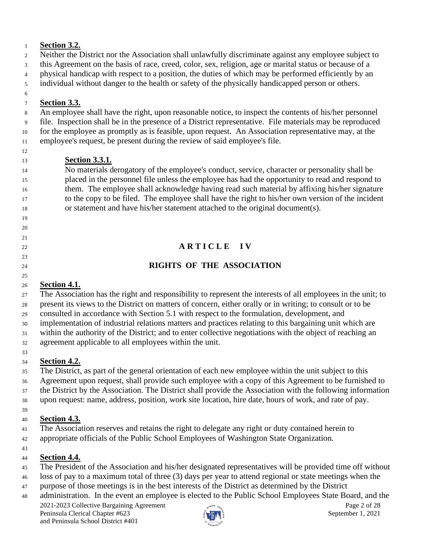## **Section 3.2.**

 Neither the District nor the Association shall unlawfully discriminate against any employee subject to this Agreement on the basis of race, creed, color, sex, religion, age or marital status or because of a

physical handicap with respect to a position, the duties of which may be performed efficiently by an

individual without danger to the health or safety of the physically handicapped person or others.

### **Section 3.3.**

An employee shall have the right, upon reasonable notice, to inspect the contents of his/her personnel

file. Inspection shall be in the presence of a District representative. File materials may be reproduced

for the employee as promptly as is feasible, upon request. An Association representative may, at the

employee's request, be present during the review of said employee's file.

 

# **Section 3.3.1.**

 No materials derogatory of the employee's conduct, service, character or personality shall be placed in the personnel file unless the employee has had the opportunity to read and respond to them. The employee shall acknowledge having read such material by affixing his/her signature to the copy to be filed. The employee shall have the right to his/her own version of the incident or statement and have his/her statement attached to the original document(s).

# **A R T I C L E I V**

# **RIGHTS OF THE ASSOCIATION**

# **Section 4.1.**

 The Association has the right and responsibility to represent the interests of all employees in the unit; to present its views to the District on matters of concern, either orally or in writing; to consult or to be consulted in accordance with Section 5.1 with respect to the formulation, development, and implementation of industrial relations matters and practices relating to this bargaining unit which are within the authority of the District; and to enter collective negotiations with the object of reaching an

agreement applicable to all employees within the unit.

#### **Section 4.2.**

 The District, as part of the general orientation of each new employee within the unit subject to this Agreement upon request, shall provide such employee with a copy of this Agreement to be furnished to the District by the Association. The District shall provide the Association with the following information upon request: name, address, position, work site location, hire date, hours of work, and rate of pay.

# **Section 4.3.**

The Association reserves and retains the right to delegate any right or duty contained herein to

appropriate officials of the Public School Employees of Washington State Organization.

# 

# **Section 4.4.**

- The President of the Association and his/her designated representatives will be provided time off without
- loss of pay to a maximum total of three (3) days per year to attend regional or state meetings when the
- purpose of those meetings is in the best interests of the District as determined by the District
- administration. In the event an employee is elected to the Public School Employees State Board, and the

2021-2023 Collective Bargaining Agreement **Page 2** of 28 Peninsula Clerical Chapter #623 September 1, 2021 and Peninsula School District #401

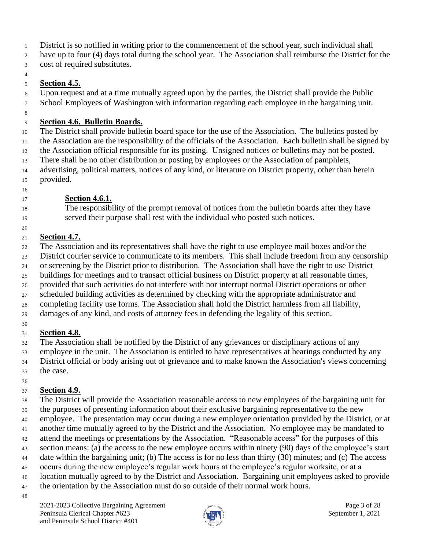District is so notified in writing prior to the commencement of the school year, such individual shall

have up to four (4) days total during the school year. The Association shall reimburse the District for the

cost of required substitutes.

### 

# **Section 4.5.**

 Upon request and at a time mutually agreed upon by the parties, the District shall provide the Public School Employees of Washington with information regarding each employee in the bargaining unit.

# **Section 4.6. Bulletin Boards.**

 The District shall provide bulletin board space for the use of the Association. The bulletins posted by the Association are the responsibility of the officials of the Association. Each bulletin shall be signed by the Association official responsible for its posting. Unsigned notices or bulletins may not be posted. There shall be no other distribution or posting by employees or the Association of pamphlets, advertising, political matters, notices of any kind, or literature on District property, other than herein

- provided.
- 

# **Section 4.6.1.**

 The responsibility of the prompt removal of notices from the bulletin boards after they have served their purpose shall rest with the individual who posted such notices.

# **Section 4.7.**

The Association and its representatives shall have the right to use employee mail boxes and/or the

District courier service to communicate to its members. This shall include freedom from any censorship

or screening by the District prior to distribution. The Association shall have the right to use District

buildings for meetings and to transact official business on District property at all reasonable times,

 provided that such activities do not interfere with nor interrupt normal District operations or other scheduled building activities as determined by checking with the appropriate administrator and

completing facility use forms. The Association shall hold the District harmless from all liability,

damages of any kind, and costs of attorney fees in defending the legality of this section.

# **Section 4.8.**

The Association shall be notified by the District of any grievances or disciplinary actions of any

employee in the unit. The Association is entitled to have representatives at hearings conducted by any

 District official or body arising out of grievance and to make known the Association's views concerning the case.

# **Section 4.9.**

 The District will provide the Association reasonable access to new employees of the bargaining unit for the purposes of presenting information about their exclusive bargaining representative to the new employee. The presentation may occur during a new employee orientation provided by the District, or at another time mutually agreed to by the District and the Association. No employee may be mandated to attend the meetings or presentations by the Association. "Reasonable access" for the purposes of this section means: (a) the access to the new employee occurs within ninety (90) days of the employee's start date within the bargaining unit; (b) The access is for no less than thirty (30) minutes; and (c) The access occurs during the new employee's regular work hours at the employee's regular worksite, or at a location mutually agreed to by the District and Association. Bargaining unit employees asked to provide the orientation by the Association must do so outside of their normal work hours.

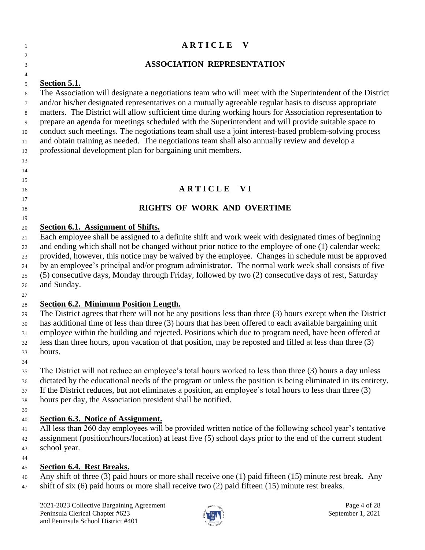### **A R T I C L E** V  $\mathfrak{D}$  **ASSOCIATION REPRESENTATION Section 5.1.** The Association will designate a negotiations team who will meet with the Superintendent of the District and/or his/her designated representatives on a mutually agreeable regular basis to discuss appropriate matters. The District will allow sufficient time during working hours for Association representation to prepare an agenda for meetings scheduled with the Superintendent and will provide suitable space to conduct such meetings. The negotiations team shall use a joint interest-based problem-solving process and obtain training as needed. The negotiations team shall also annually review and develop a professional development plan for bargaining unit members. **A R T I C L E V I RIGHTS OF WORK AND OVERTIME Section 6.1. Assignment of Shifts.** Each employee shall be assigned to a definite shift and work week with designated times of beginning and ending which shall not be changed without prior notice to the employee of one (1) calendar week; provided, however, this notice may be waived by the employee. Changes in schedule must be approved by an employee's principal and/or program administrator. The normal work week shall consists of five (5) consecutive days, Monday through Friday, followed by two (2) consecutive days of rest, Saturday and Sunday. **Section 6.2. Minimum Position Length.** The District agrees that there will not be any positions less than three (3) hours except when the District has additional time of less than three (3) hours that has been offered to each available bargaining unit employee within the building and rejected. Positions which due to program need, have been offered at less than three hours, upon vacation of that position, may be reposted and filled at less than three (3) hours. The District will not reduce an employee's total hours worked to less than three (3) hours a day unless dictated by the educational needs of the program or unless the position is being eliminated in its entirety. If the District reduces, but not eliminates a position, an employee's total hours to less than three (3) hours per day, the Association president shall be notified. **Section 6.3. Notice of Assignment.** All less than 260 day employees will be provided written notice of the following school year's tentative assignment (position/hours/location) at least five (5) school days prior to the end of the current student school year. **Section 6.4. Rest Breaks.** Any shift of three (3) paid hours or more shall receive one (1) paid fifteen (15) minute rest break. Any shift of six (6) paid hours or more shall receive two (2) paid fifteen (15) minute rest breaks.

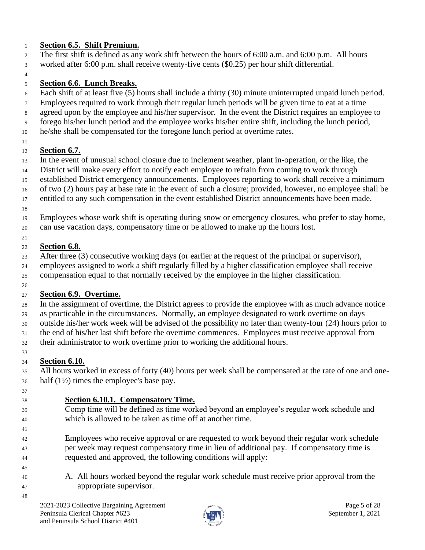# **Section 6.5. Shift Premium.**

- The first shift is defined as any work shift between the hours of 6:00 a.m. and 6:00 p.m. All hours
- worked after 6:00 p.m. shall receive twenty-five cents (\$0.25) per hour shift differential.
- 

# **Section 6.6. Lunch Breaks.**

- Each shift of at least five (5) hours shall include a thirty (30) minute uninterrupted unpaid lunch period.
- Employees required to work through their regular lunch periods will be given time to eat at a time
- agreed upon by the employee and his/her supervisor. In the event the District requires an employee to
- forego his/her lunch period and the employee works his/her entire shift, including the lunch period,
- he/she shall be compensated for the foregone lunch period at overtime rates.
- 

# **Section 6.7.**

- In the event of unusual school closure due to inclement weather, plant in-operation, or the like, the
- District will make every effort to notify each employee to refrain from coming to work through
- established District emergency announcements. Employees reporting to work shall receive a minimum
- of two (2) hours pay at base rate in the event of such a closure; provided, however, no employee shall be
- entitled to any such compensation in the event established District announcements have been made.
- 
- Employees whose work shift is operating during snow or emergency closures, who prefer to stay home, can use vacation days, compensatory time or be allowed to make up the hours lost.
- 

# **Section 6.8.**

After three (3) consecutive working days (or earlier at the request of the principal or supervisor),

 employees assigned to work a shift regularly filled by a higher classification employee shall receive compensation equal to that normally received by the employee in the higher classification.

#### **Section 6.9. Overtime.**

 In the assignment of overtime, the District agrees to provide the employee with as much advance notice as practicable in the circumstances. Normally, an employee designated to work overtime on days

- outside his/her work week will be advised of the possibility no later than twenty-four (24) hours prior to
- the end of his/her last shift before the overtime commences. Employees must receive approval from
- their administrator to work overtime prior to working the additional hours.
- **Section 6.10.**

 All hours worked in excess of forty (40) hours per week shall be compensated at the rate of one and one-half (1½) times the employee's base pay.

# **Section 6.10.1. Compensatory Time.**

- 
- 
- Comp time will be defined as time worked beyond an employee's regular work schedule and which is allowed to be taken as time off at another time.
- 

- Employees who receive approval or are requested to work beyond their regular work schedule per week may request compensatory time in lieu of additional pay. If compensatory time is requested and approved, the following conditions will apply:
- A. All hours worked beyond the regular work schedule must receive prior approval from the appropriate supervisor.

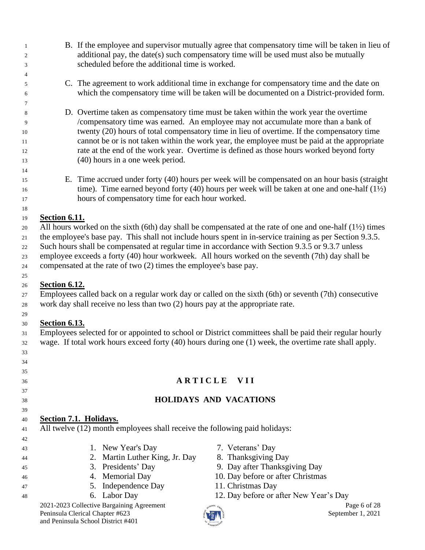- B. If the employee and supervisor mutually agree that compensatory time will be taken in lieu of additional pay, the date(s) such compensatory time will be used must also be mutually scheduled before the additional time is worked.
- C. The agreement to work additional time in exchange for compensatory time and the date on which the compensatory time will be taken will be documented on a District-provided form.
- D. Overtime taken as compensatory time must be taken within the work year the overtime /compensatory time was earned. An employee may not accumulate more than a bank of twenty (20) hours of total compensatory time in lieu of overtime. If the compensatory time cannot be or is not taken within the work year, the employee must be paid at the appropriate rate at the end of the work year. Overtime is defined as those hours worked beyond forty (40) hours in a one week period.
- E. Time accrued under forty (40) hours per week will be compensated on an hour basis (straight 16 time). Time earned beyond forty (40) hours per week will be taken at one and one-half  $(1/2)$ hours of compensatory time for each hour worked.

### **Section 6.11.**

 

20 All hours worked on the sixth (6th) day shall be compensated at the rate of one and one-half  $(1/2)$  times the employee's base pay. This shall not include hours spent in in-service training as per Section 9.3.5.

22 Such hours shall be compensated at regular time in accordance with Section 9.3.5 or 9.3.7 unless employee exceeds a forty (40) hour workweek. All hours worked on the seventh (7th) day shall be

compensated at the rate of two (2) times the employee's base pay.

# **Section 6.12.**

 Employees called back on a regular work day or called on the sixth (6th) or seventh (7th) consecutive work day shall receive no less than two (2) hours pay at the appropriate rate.

#### **Section 6.13.**

 Employees selected for or appointed to school or District committees shall be paid their regular hourly wage. If total work hours exceed forty (40) hours during one (1) week, the overtime rate shall apply.

# **A R T I C L E V I I**

# **HOLIDAYS AND VACATIONS**

# **Section 7.1. Holidays.**

All twelve (12) month employees shall receive the following paid holidays:

- 1. New Year's Day 7. Veterans' Day
- 2. Martin Luther King, Jr. Day 8. Thanksgiving Day
- 3. Presidents' Day 9. Day after Thanksgiving Day
- 4. Memorial Day 10. Day before or after Christmas
- 5. Independence Day 11. Christmas Day
	-

2021-2023 Collective Bargaining Agreement **Page 6** of 28 Peninsula Clerical Chapter #623 September 1, 2021 and Peninsula School District #401

- 
- 
- 
- 
- 
- 6. Labor Day 12. Day before or after New Year's Day

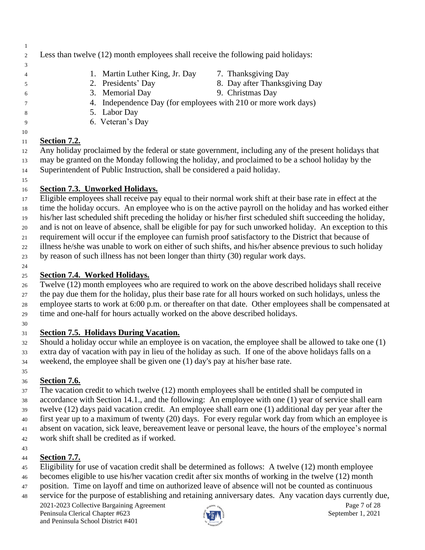- Less than twelve (12) month employees shall receive the following paid holidays: 1. Martin Luther King, Jr. Day 7. Thanksgiving Day 2. Presidents' Day 8. Day after Thanksgiving Day 3. Memorial Day 9. Christmas Day 4. Independence Day (for employees with 210 or more work days)
- 5. Labor Day
- 6. Veteran's Day

# **Section 7.2.**

 Any holiday proclaimed by the federal or state government, including any of the present holidays that may be granted on the Monday following the holiday, and proclaimed to be a school holiday by the Superintendent of Public Instruction, shall be considered a paid holiday.

# **Section 7.3. Unworked Holidays.**

 Eligible employees shall receive pay equal to their normal work shift at their base rate in effect at the time the holiday occurs. An employee who is on the active payroll on the holiday and has worked either

his/her last scheduled shift preceding the holiday or his/her first scheduled shift succeeding the holiday,

and is not on leave of absence, shall be eligible for pay for such unworked holiday. An exception to this

requirement will occur if the employee can furnish proof satisfactory to the District that because of

illness he/she was unable to work on either of such shifts, and his/her absence previous to such holiday

by reason of such illness has not been longer than thirty (30) regular work days.

# **Section 7.4. Worked Holidays.**

 Twelve (12) month employees who are required to work on the above described holidays shall receive the pay due them for the holiday, plus their base rate for all hours worked on such holidays, unless the employee starts to work at 6:00 p.m. or thereafter on that date. Other employees shall be compensated at time and one-half for hours actually worked on the above described holidays.

# **Section 7.5. Holidays During Vacation.**

 Should a holiday occur while an employee is on vacation, the employee shall be allowed to take one (1) extra day of vacation with pay in lieu of the holiday as such. If one of the above holidays falls on a weekend, the employee shall be given one (1) day's pay at his/her base rate.

### **Section 7.6.**

 The vacation credit to which twelve (12) month employees shall be entitled shall be computed in accordance with Section 14.1., and the following: An employee with one (1) year of service shall earn twelve (12) days paid vacation credit. An employee shall earn one (1) additional day per year after the first year up to a maximum of twenty (20) days. For every regular work day from which an employee is absent on vacation, sick leave, bereavement leave or personal leave, the hours of the employee's normal work shift shall be credited as if worked.

### **Section 7.7.**

- Eligibility for use of vacation credit shall be determined as follows: A twelve (12) month employee
- becomes eligible to use his/her vacation credit after six months of working in the twelve (12) month
- position. Time on layoff and time on authorized leave of absence will not be counted as continuous
- service for the purpose of establishing and retaining anniversary dates. Any vacation days currently due,

2021-2023 Collective Bargaining Agreement Page 7 of 28<br>
Peninsula Clerical Chapter #623 September 1, 2021 Peninsula Clerical Chapter #623 and Peninsula School District #401

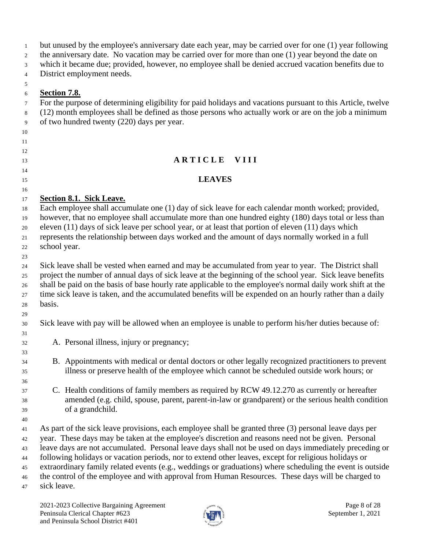| $\mathbf{1}$   | but unused by the employee's anniversary date each year, may be carried over for one (1) year following     |
|----------------|-------------------------------------------------------------------------------------------------------------|
| $\overline{2}$ | the anniversary date. No vacation may be carried over for more than one (1) year beyond the date on         |
| 3              | which it became due; provided, however, no employee shall be denied accrued vacation benefits due to        |
| $\overline{4}$ | District employment needs.                                                                                  |
| 5              |                                                                                                             |
| 6              | Section 7.8.                                                                                                |
| $\tau$         | For the purpose of determining eligibility for paid holidays and vacations pursuant to this Article, twelve |
| 8              | (12) month employees shall be defined as those persons who actually work or are on the job a minimum        |
| 9              | of two hundred twenty (220) days per year.                                                                  |
| 10             |                                                                                                             |
| 11             |                                                                                                             |
| 12             |                                                                                                             |
| 13             | ARTICLE VIII                                                                                                |
| 14             |                                                                                                             |
| 15             | <b>LEAVES</b>                                                                                               |
| 16             |                                                                                                             |
| 17             | Section 8.1. Sick Leave.                                                                                    |
| 18             | Each employee shall accumulate one (1) day of sick leave for each calendar month worked; provided,          |
| 19             | however, that no employee shall accumulate more than one hundred eighty (180) days total or less than       |
| 20             | eleven $(11)$ days of sick leave per school year, or at least that portion of eleven $(11)$ days which      |
| 21             | represents the relationship between days worked and the amount of days normally worked in a full            |
| 22             | school year.                                                                                                |
| 23             |                                                                                                             |
| 24             | Sick leave shall be vested when earned and may be accumulated from year to year. The District shall         |
| $\sim$ $\sim$  | project the number of ennual days of sight leave at the beginning of the school year. Sight leave benefits  |

 project the number of annual days of sick leave at the beginning of the school year. Sick leave benefits shall be paid on the basis of base hourly rate applicable to the employee's normal daily work shift at the time sick leave is taken, and the accumulated benefits will be expended on an hourly rather than a daily basis.

Sick leave with pay will be allowed when an employee is unable to perform his/her duties because of:

 A. Personal illness, injury or pregnancy;

- B. Appointments with medical or dental doctors or other legally recognized practitioners to prevent illness or preserve health of the employee which cannot be scheduled outside work hours; or
- C. Health conditions of family members as required by RCW 49.12.270 as currently or hereafter amended (e.g. child, spouse, parent, parent-in-law or grandparent) or the serious health condition of a grandchild.
- As part of the sick leave provisions, each employee shall be granted three (3) personal leave days per year. These days may be taken at the employee's discretion and reasons need not be given. Personal leave days are not accumulated. Personal leave days shall not be used on days immediately preceding or following holidays or vacation periods, nor to extend other leaves, except for religious holidays or extraordinary family related events (e.g., weddings or graduations) where scheduling the event is outside the control of the employee and with approval from Human Resources. These days will be charged to sick leave.

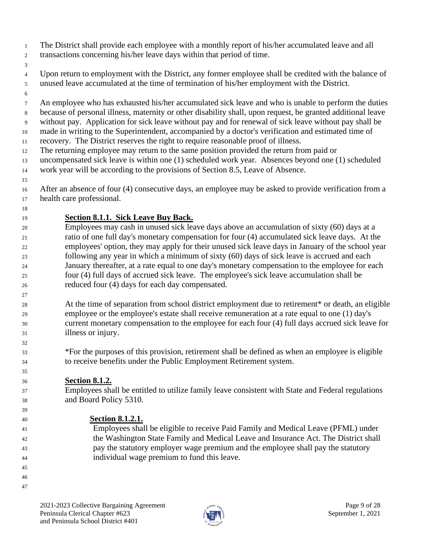- The District shall provide each employee with a monthly report of his/her accumulated leave and all transactions concerning his/her leave days within that period of time.
- 

 Upon return to employment with the District, any former employee shall be credited with the balance of unused leave accumulated at the time of termination of his/her employment with the District.

 An employee who has exhausted his/her accumulated sick leave and who is unable to perform the duties because of personal illness, maternity or other disability shall, upon request, be granted additional leave without pay. Application for sick leave without pay and for renewal of sick leave without pay shall be

made in writing to the Superintendent, accompanied by a doctor's verification and estimated time of

- recovery. The District reserves the right to require reasonable proof of illness.
- The returning employee may return to the same position provided the return from paid or

 uncompensated sick leave is within one (1) scheduled work year. Absences beyond one (1) scheduled work year will be according to the provisions of Section 8.5, Leave of Absence.

# **Section 8.1.1. Sick Leave Buy Back.**

 Employees may cash in unused sick leave days above an accumulation of sixty (60) days at a ratio of one full day's monetary compensation for four (4) accumulated sick leave days. At the employees' option, they may apply for their unused sick leave days in January of the school year following any year in which a minimum of sixty (60) days of sick leave is accrued and each January thereafter, at a rate equal to one day's monetary compensation to the employee for each four (4) full days of accrued sick leave. The employee's sick leave accumulation shall be reduced four (4) days for each day compensated.

 At the time of separation from school district employment due to retirement\* or death, an eligible employee or the employee's estate shall receive remuneration at a rate equal to one (1) day's current monetary compensation to the employee for each four (4) full days accrued sick leave for illness or injury.

 \*For the purposes of this provision, retirement shall be defined as when an employee is eligible to receive benefits under the Public Employment Retirement system.

# **Section 8.1.2.**

 Employees shall be entitled to utilize family leave consistent with State and Federal regulations and Board Policy 5310.

# **Section 8.1.2.1.**

 Employees shall be eligible to receive Paid Family and Medical Leave (PFML) under the Washington State Family and Medical Leave and Insurance Act. The District shall pay the statutory employer wage premium and the employee shall pay the statutory individual wage premium to fund this leave.

- 
- 



 After an absence of four (4) consecutive days, an employee may be asked to provide verification from a health care professional.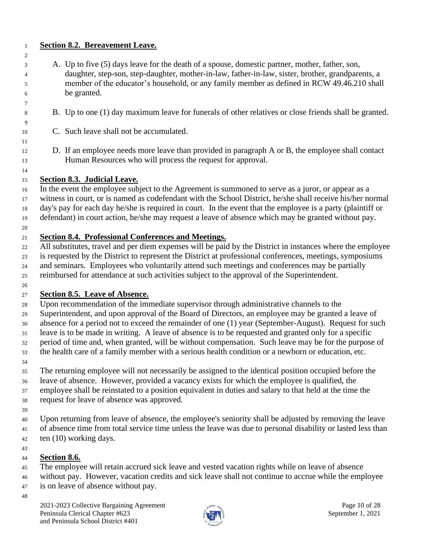### **Section 8.2. Bereavement Leave.**

- A. Up to five (5) days leave for the death of a spouse, domestic partner, mother, father, son, daughter, step-son, step-daughter, mother-in-law, father-in-law, sister, brother, grandparents, a member of the educator's household, or any family member as defined in [RCW 49.46.210](https://app.leg.wa.gov/rcw/default.aspx?cite=49.46.210) shall be granted.
- B. Up to one (1) day maximum leave for funerals of other relatives or close friends shall be granted.
- C. Such leave shall not be accumulated.
- D. If an employee needs more leave than provided in paragraph A or B, the employee shall contact Human Resources who will process the request for approval.

### **Section 8.3. Judicial Leave.**

 In the event the employee subject to the Agreement is summoned to serve as a juror, or appear as a witness in court, or is named as codefendant with the School District, he/she shall receive his/her normal day's pay for each day he/she is required in court. In the event that the employee is a party (plaintiff or defendant) in court action, he/she may request a leave of absence which may be granted without pay.

### **Section 8.4. Professional Conferences and Meetings.**

 All substitutes, travel and per diem expenses will be paid by the District in instances where the employee is requested by the District to represent the District at professional conferences, meetings, symposiums and seminars. Employees who voluntarily attend such meetings and conferences may be partially reimbursed for attendance at such activities subject to the approval of the Superintendent.

### **Section 8.5. Leave of Absence.**

Upon recommendation of the immediate supervisor through administrative channels to the

Superintendent, and upon approval of the Board of Directors, an employee may be granted a leave of

absence for a period not to exceed the remainder of one (1) year (September-August). Request for such

leave is to be made in writing. A leave of absence is to be requested and granted only for a specific

 period of time and, when granted, will be without compensation. Such leave may be for the purpose of the health care of a family member with a serious health condition or a newborn or education, etc.

 The returning employee will not necessarily be assigned to the identical position occupied before the leave of absence. However, provided a vacancy exists for which the employee is qualified, the

 employee shall be reinstated to a position equivalent in duties and salary to that held at the time the request for leave of absence was approved.

 Upon returning from leave of absence, the employee's seniority shall be adjusted by removing the leave of absence time from total service time unless the leave was due to personal disability or lasted less than ten (10) working days.

### **Section 8.6.**

The employee will retain accrued sick leave and vested vacation rights while on leave of absence

 without pay. However, vacation credits and sick leave shall not continue to accrue while the employee is on leave of absence without pay.

2021-2023 Collective Bargaining Agreement **Page 10** of 28 Peninsula Clerical Chapter #623 September 1, 2021 and Peninsula School District #401

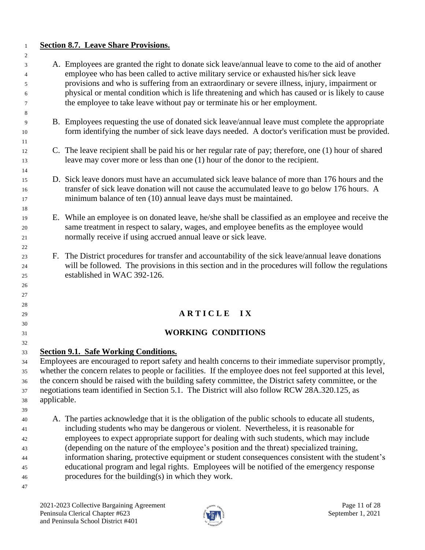### **Section 8.7. Leave Share Provisions.**

 A. Employees are granted the right to donate sick leave/annual leave to come to the aid of another employee who has been called to active military service or exhausted his/her sick leave provisions and who is suffering from an extraordinary or severe illness, injury, impairment or physical or mental condition which is life threatening and which has caused or is likely to cause the employee to take leave without pay or terminate his or her employment. B. Employees requesting the use of donated sick leave/annual leave must complete the appropriate form identifying the number of sick leave days needed. A doctor's verification must be provided. C. The leave recipient shall be paid his or her regular rate of pay; therefore, one (1) hour of shared leave may cover more or less than one (1) hour of the donor to the recipient. D. Sick leave donors must have an accumulated sick leave balance of more than 176 hours and the transfer of sick leave donation will not cause the accumulated leave to go below 176 hours. A minimum balance of ten (10) annual leave days must be maintained. E. While an employee is on donated leave, he/she shall be classified as an employee and receive the same treatment in respect to salary, wages, and employee benefits as the employee would normally receive if using accrued annual leave or sick leave. F. The District procedures for transfer and accountability of the sick leave/annual leave donations will be followed. The provisions in this section and in the procedures will follow the regulations established in WAC 392-126. **A R T I C L E I X WORKING CONDITIONS Section 9.1. Safe Working Conditions.** Employees are encouraged to report safety and health concerns to their immediate supervisor promptly, whether the concern relates to people or facilities. If the employee does not feel supported at this level, the concern should be raised with the building safety committee, the District safety committee, or the negotiations team identified in Section 5.1. The District will also follow RCW 28A.320.125, as applicable. A. The parties acknowledge that it is the obligation of the public schools to educate all students, including students who may be dangerous or violent. Nevertheless, it is reasonable for employees to expect appropriate support for dealing with such students, which may include (depending on the nature of the employee's position and the threat) specialized training, information sharing, protective equipment or student consequences consistent with the student's educational program and legal rights. Employees will be notified of the emergency response procedures for the building(s) in which they work. 

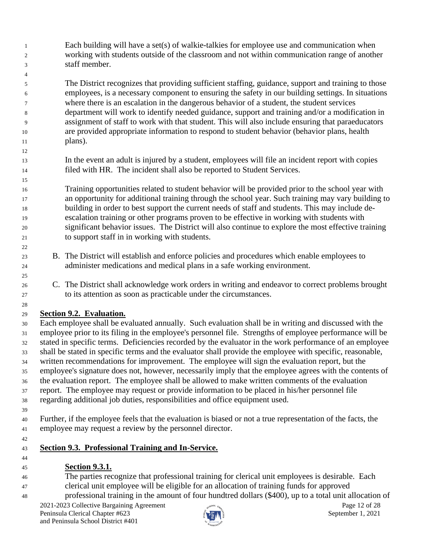Each building will have a set(s) of walkie-talkies for employee use and communication when working with students outside of the classroom and not within communication range of another staff member.

 The District recognizes that providing sufficient staffing, guidance, support and training to those employees, is a necessary component to ensuring the safety in our building settings. In situations where there is an escalation in the dangerous behavior of a student, the student services department will work to identify needed guidance, support and training and/or a modification in assignment of staff to work with that student. This will also include ensuring that paraeducators are provided appropriate information to respond to student behavior (behavior plans, health plans).

 In the event an adult is injured by a student, employees will file an incident report with copies filed with HR. The incident shall also be reported to Student Services.

 Training opportunities related to student behavior will be provided prior to the school year with an opportunity for additional training through the school year. Such training may vary building to building in order to best support the current needs of staff and students. This may include de- escalation training or other programs proven to be effective in working with students with significant behavior issues. The District will also continue to explore the most effective training to support staff in in working with students.

- B. The District will establish and enforce policies and procedures which enable employees to administer medications and medical plans in a safe working environment.
- C. The District shall acknowledge work orders in writing and endeavor to correct problems brought to its attention as soon as practicable under the circumstances.

# **Section 9.2. Evaluation.**

 Each employee shall be evaluated annually. Such evaluation shall be in writing and discussed with the employee prior to its filing in the employee's personnel file. Strengths of employee performance will be stated in specific terms. Deficiencies recorded by the evaluator in the work performance of an employee shall be stated in specific terms and the evaluator shall provide the employee with specific, reasonable, written recommendations for improvement. The employee will sign the evaluation report, but the employee's signature does not, however, necessarily imply that the employee agrees with the contents of the evaluation report. The employee shall be allowed to make written comments of the evaluation report. The employee may request or provide information to be placed in his/her personnel file regarding additional job duties, responsibilities and office equipment used.

 Further, if the employee feels that the evaluation is biased or not a true representation of the facts, the employee may request a review by the personnel director.

# **Section 9.3. Professional Training and In-Service.**

- **Section 9.3.1.**
- The parties recognize that professional training for clerical unit employees is desirable. Each clerical unit employee will be eligible for an allocation of training funds for approved
- professional training in the amount of four hundtred dollars (\$400), up to a total unit allocation of

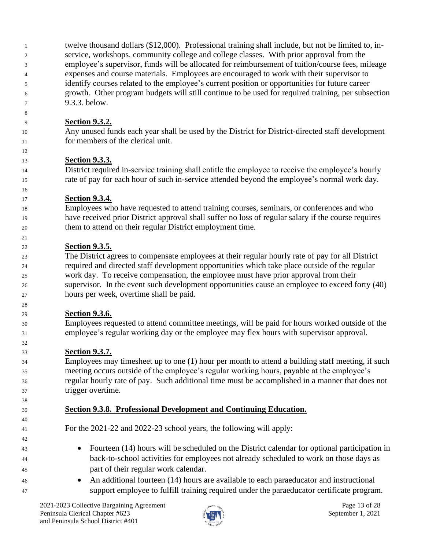twelve thousand dollars (\$12,000). Professional training shall include, but not be limited to, in- service, workshops, community college and college classes. With prior approval from the employee's supervisor, funds will be allocated for reimbursement of tuition/course fees, mileage expenses and course materials. Employees are encouraged to work with their supervisor to identify courses related to the employee's current position or opportunities for future career growth. Other program budgets will still continue to be used for required training, per subsection 9.3.3. below.

# **Section 9.3.2.**

 Any unused funds each year shall be used by the District for District-directed staff development for members of the clerical unit.

# **Section 9.3.3.**

 District required in-service training shall entitle the employee to receive the employee's hourly rate of pay for each hour of such in-service attended beyond the employee's normal work day.

# **Section 9.3.4.**

 Employees who have requested to attend training courses, seminars, or conferences and who have received prior District approval shall suffer no loss of regular salary if the course requires them to attend on their regular District employment time.

# **Section 9.3.5.**

 The District agrees to compensate employees at their regular hourly rate of pay for all District required and directed staff development opportunities which take place outside of the regular work day. To receive compensation, the employee must have prior approval from their supervisor. In the event such development opportunities cause an employee to exceed forty (40) hours per week, overtime shall be paid.

# **Section 9.3.6.**

 Employees requested to attend committee meetings, will be paid for hours worked outside of the employee's regular working day or the employee may flex hours with supervisor approval.

# **Section 9.3.7.**

 Employees may timesheet up to one (1) hour per month to attend a building staff meeting, if such meeting occurs outside of the employee's regular working hours, payable at the employee's regular hourly rate of pay. Such additional time must be accomplished in a manner that does not trigger overtime.

# **Section 9.3.8. Professional Development and Continuing Education.**

For the 2021-22 and 2022-23 school years, the following will apply:

- Fourteen (14) hours will be scheduled on the District calendar for optional participation in back-to-school activities for employees not already scheduled to work on those days as part of their regular work calendar.
- An additional fourteen (14) hours are available to each paraeducator and instructional support employee to fulfill training required under the paraeducator certificate program.

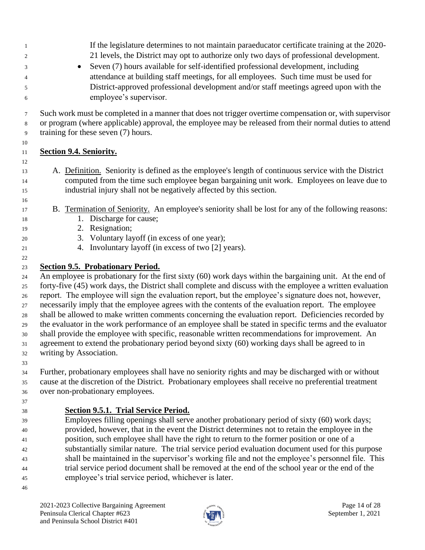If the legislature determines to not maintain paraeducator certificate training at the 2020- 21 levels, the District may opt to authorize only two days of professional development. • Seven (7) hours available for self-identified professional development, including attendance at building staff meetings, for all employees. Such time must be used for District-approved professional development and/or staff meetings agreed upon with the employee's supervisor. Such work must be completed in a manner that does not trigger overtime compensation or, with supervisor or program (where applicable) approval, the employee may be released from their normal duties to attend training for these seven (7) hours. **Section 9.4. Seniority.** A. Definition. Seniority is defined as the employee's length of continuous service with the District computed from the time such employee began bargaining unit work. Employees on leave due to industrial injury shall not be negatively affected by this section. B. Termination of Seniority. An employee's seniority shall be lost for any of the following reasons: 18 1. Discharge for cause; 2. Resignation; 3. Voluntary layoff (in excess of one year); 4. Involuntary layoff (in excess of two [2] years). **Section 9.5. Probationary Period.** An employee is probationary for the first sixty (60) work days within the bargaining unit. At the end of

 forty-five (45) work days, the District shall complete and discuss with the employee a written evaluation report. The employee will sign the evaluation report, but the employee's signature does not, however, necessarily imply that the employee agrees with the contents of the evaluation report. The employee shall be allowed to make written comments concerning the evaluation report. Deficiencies recorded by the evaluator in the work performance of an employee shall be stated in specific terms and the evaluator shall provide the employee with specific, reasonable written recommendations for improvement. An agreement to extend the probationary period beyond sixty (60) working days shall be agreed to in writing by Association.

 Further, probationary employees shall have no seniority rights and may be discharged with or without cause at the discretion of the District. Probationary employees shall receive no preferential treatment over non-probationary employees.

**Section 9.5.1. Trial Service Period.**

 Employees filling openings shall serve another probationary period of sixty (60) work days; provided, however, that in the event the District determines not to retain the employee in the position, such employee shall have the right to return to the former position or one of a substantially similar nature. The trial service period evaluation document used for this purpose shall be maintained in the supervisor's working file and not the employee's personnel file. This trial service period document shall be removed at the end of the school year or the end of the employee's trial service period, whichever is later.

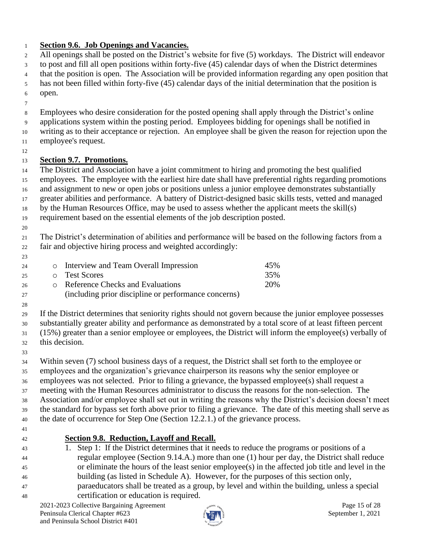### **Section 9.6. Job Openings and Vacancies.**

 All openings shall be posted on the District's website for five (5) workdays. The District will endeavor to post and fill all open positions within forty-five (45) calendar days of when the District determines that the position is open. The Association will be provided information regarding any open position that has not been filled within forty-five (45) calendar days of the initial determination that the position is open. Employees who desire consideration for the posted opening shall apply through the District's online applications system within the posting period. Employees bidding for openings shall be notified in writing as to their acceptance or rejection. An employee shall be given the reason for rejection upon the employee's request. **Section 9.7. Promotions.**

 The District and Association have a joint commitment to hiring and promoting the best qualified employees. The employee with the earliest hire date shall have preferential rights regarding promotions and assignment to new or open jobs or positions unless a junior employee demonstrates substantially greater abilities and performance. A battery of District-designed basic skills tests, vetted and managed by the Human Resources Office, may be used to assess whether the applicant meets the skill(s)

requirement based on the essential elements of the job description posted.

 The District's determination of abilities and performance will be based on the following factors from a fair and objective hiring process and weighted accordingly:

| 23 |                                                      |     |
|----|------------------------------------------------------|-----|
| 24 | o Interview and Team Overall Impression              | 45% |
| 25 | o Test Scores                                        | 35% |
| 26 | <b>Example 2</b> Reference Checks and Evaluations    | 20% |
| 27 | (including prior discipline or performance concerns) |     |

 If the District determines that seniority rights should not govern because the junior employee possesses substantially greater ability and performance as demonstrated by a total score of at least fifteen percent (15%) greater than a senior employee or employees, the District will inform the employee(s) verbally of this decision.

Within seven (7) school business days of a request, the District shall set forth to the employee or

 employees and the organization's grievance chairperson its reasons why the senior employee or employees was not selected. Prior to filing a grievance, the bypassed employee(s) shall request a meeting with the Human Resources administrator to discuss the reasons for the non-selection. The

 Association and/or employee shall set out in writing the reasons why the District's decision doesn't meet the standard for bypass set forth above prior to filing a grievance. The date of this meeting shall serve as the date of occurrence for Step One (Section 12.2.1.) of the grievance process.

### **Section 9.8. Reduction, Layoff and Recall.**

 1. Step 1: If the District determines that it needs to reduce the programs or positions of a regular employee (Section 9.14.A.) more than one (1) hour per day, the District shall reduce or eliminate the hours of the least senior employee(s) in the affected job title and level in the building (as listed in Schedule A). However, for the purposes of this section only, paraeducators shall be treated as a group, by level and within the building, unless a special certification or education is required.

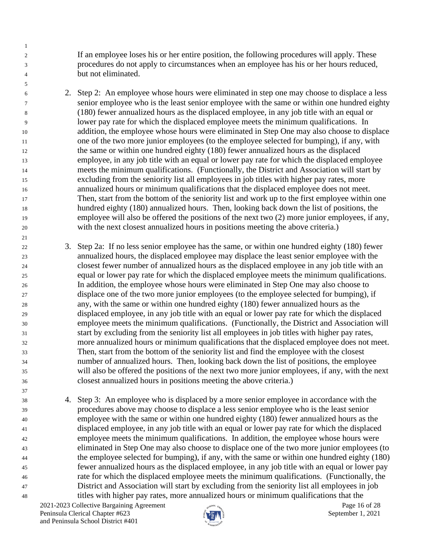If an employee loses his or her entire position, the following procedures will apply. These procedures do not apply to circumstances when an employee has his or her hours reduced, but not eliminated.

 2. Step 2: An employee whose hours were eliminated in step one may choose to displace a less senior employee who is the least senior employee with the same or within one hundred eighty (180) fewer annualized hours as the displaced employee, in any job title with an equal or lower pay rate for which the displaced employee meets the minimum qualifications. In addition, the employee whose hours were eliminated in Step One may also choose to displace one of the two more junior employees (to the employee selected for bumping), if any, with the same or within one hundred eighty (180) fewer annualized hours as the displaced employee, in any job title with an equal or lower pay rate for which the displaced employee meets the minimum qualifications. (Functionally, the District and Association will start by excluding from the seniority list all employees in job titles with higher pay rates, more annualized hours or minimum qualifications that the displaced employee does not meet. Then, start from the bottom of the seniority list and work up to the first employee within one hundred eighty (180) annualized hours. Then, looking back down the list of positions, the employee will also be offered the positions of the next two (2) more junior employees, if any, with the next closest annualized hours in positions meeting the above criteria.)

 3. Step 2a: If no less senior employee has the same, or within one hundred eighty (180) fewer annualized hours, the displaced employee may displace the least senior employee with the closest fewer number of annualized hours as the displaced employee in any job title with an equal or lower pay rate for which the displaced employee meets the minimum qualifications. In addition, the employee whose hours were eliminated in Step One may also choose to displace one of the two more junior employees (to the employee selected for bumping), if any, with the same or within one hundred eighty (180) fewer annualized hours as the displaced employee, in any job title with an equal or lower pay rate for which the displaced employee meets the minimum qualifications. (Functionally, the District and Association will start by excluding from the seniority list all employees in job titles with higher pay rates, more annualized hours or minimum qualifications that the displaced employee does not meet. Then, start from the bottom of the seniority list and find the employee with the closest number of annualized hours. Then, looking back down the list of positions, the employee will also be offered the positions of the next two more junior employees, if any, with the next closest annualized hours in positions meeting the above criteria.)

 4. Step 3: An employee who is displaced by a more senior employee in accordance with the procedures above may choose to displace a less senior employee who is the least senior employee with the same or within one hundred eighty (180) fewer annualized hours as the displaced employee, in any job title with an equal or lower pay rate for which the displaced employee meets the minimum qualifications. In addition, the employee whose hours were eliminated in Step One may also choose to displace one of the two more junior employees (to the employee selected for bumping), if any, with the same or within one hundred eighty (180) fewer annualized hours as the displaced employee, in any job title with an equal or lower pay rate for which the displaced employee meets the minimum qualifications. (Functionally, the District and Association will start by excluding from the seniority list all employees in job titles with higher pay rates, more annualized hours or minimum qualifications that the

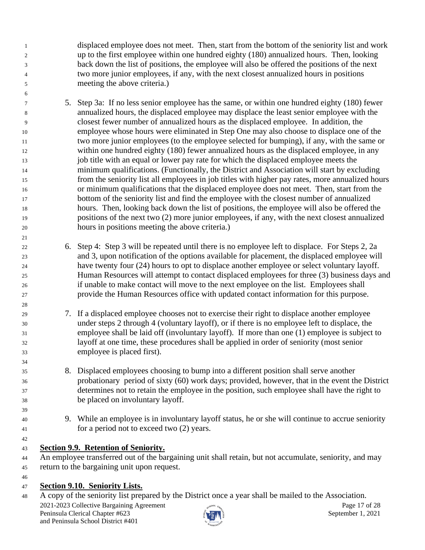displaced employee does not meet. Then, start from the bottom of the seniority list and work up to the first employee within one hundred eighty (180) annualized hours. Then, looking back down the list of positions, the employee will also be offered the positions of the next two more junior employees, if any, with the next closest annualized hours in positions meeting the above criteria.)

- 5. Step 3a: If no less senior employee has the same, or within one hundred eighty (180) fewer annualized hours, the displaced employee may displace the least senior employee with the closest fewer number of annualized hours as the displaced employee. In addition, the employee whose hours were eliminated in Step One may also choose to displace one of the two more junior employees (to the employee selected for bumping), if any, with the same or within one hundred eighty (180) fewer annualized hours as the displaced employee, in any job title with an equal or lower pay rate for which the displaced employee meets the minimum qualifications. (Functionally, the District and Association will start by excluding from the seniority list all employees in job titles with higher pay rates, more annualized hours or minimum qualifications that the displaced employee does not meet. Then, start from the bottom of the seniority list and find the employee with the closest number of annualized hours. Then, looking back down the list of positions, the employee will also be offered the positions of the next two (2) more junior employees, if any, with the next closest annualized hours in positions meeting the above criteria.)
- 6. Step 4: Step 3 will be repeated until there is no employee left to displace. For Steps 2, 2a and 3, upon notification of the options available for placement, the displaced employee will have twenty four (24) hours to opt to displace another employee or select voluntary layoff. Human Resources will attempt to contact displaced employees for three (3) business days and if unable to make contact will move to the next employee on the list. Employees shall provide the Human Resources office with updated contact information for this purpose.
- 7. If a displaced employee chooses not to exercise their right to displace another employee under steps 2 through 4 (voluntary layoff), or if there is no employee left to displace, the employee shall be laid off (involuntary layoff). If more than one (1) employee is subject to layoff at one time, these procedures shall be applied in order of seniority (most senior employee is placed first).
- 8. Displaced employees choosing to bump into a different position shall serve another probationary period of sixty (60) work days; provided, however, that in the event the District determines not to retain the employee in the position, such employee shall have the right to be placed on involuntary layoff.
- 9. While an employee is in involuntary layoff status, he or she will continue to accrue seniority for a period not to exceed two (2) years.
- 

**Section 9.9. Retention of Seniority.**

- An employee transferred out of the bargaining unit shall retain, but not accumulate, seniority, and may return to the bargaining unit upon request.
- 

# **Section 9.10. Seniority Lists.**

A copy of the seniority list prepared by the District once a year shall be mailed to the Association.

2021-2023 Collective Bargaining Agreement and the same page 17 of 28 Peninsula Clerical Chapter #623 September 1, 2021 and Peninsula School District #401

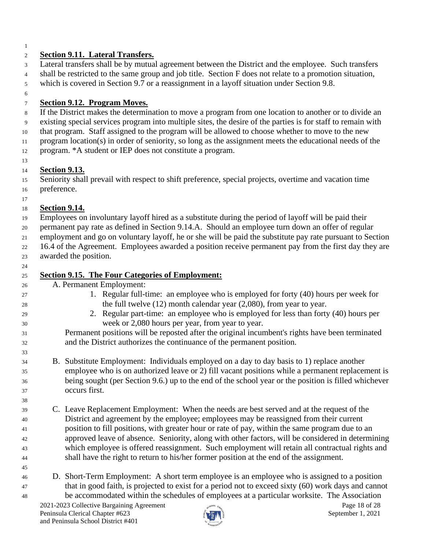### **Section 9.11. Lateral Transfers.**

 Lateral transfers shall be by mutual agreement between the District and the employee. Such transfers shall be restricted to the same group and job title. Section F does not relate to a promotion situation, which is covered in Section 9.7 or a reassignment in a layoff situation under Section 9.8.

### **Section 9.12. Program Moves.**

If the District makes the determination to move a program from one location to another or to divide an

 existing special services program into multiple sites, the desire of the parties is for staff to remain with that program. Staff assigned to the program will be allowed to choose whether to move to the new

program location(s) in order of seniority, so long as the assignment meets the educational needs of the

program. \*A student or IEP does not constitute a program.

#### **Section 9.13.**

 Seniority shall prevail with respect to shift preference, special projects, overtime and vacation time preference.

# **Section 9.14.**

 Employees on involuntary layoff hired as a substitute during the period of layoff will be paid their permanent pay rate as defined in Section 9.14.A. Should an employee turn down an offer of regular employment and go on voluntary layoff, he or she will be paid the substitute pay rate pursuant to Section

 16.4 of the Agreement. Employees awarded a position receive permanent pay from the first day they are awarded the position.

| 25 | <b>Section 9.15. The Four Categories of Employment:</b>                                              |
|----|------------------------------------------------------------------------------------------------------|
| 26 | A. Permanent Employment:                                                                             |
| 27 | 1. Regular full-time: an employee who is employed for forty (40) hours per week for                  |
| 28 | the full twelve $(12)$ month calendar year $(2,080)$ , from year to year.                            |
| 29 | 2. Regular part-time: an employee who is employed for less than forty (40) hours per                 |
| 30 | week or 2,080 hours per year, from year to year.                                                     |
| 31 | Permanent positions will be reposted after the original incumbent's rights have been terminated      |
| 32 | and the District authorizes the continuance of the permanent position.                               |
| 33 |                                                                                                      |
| 34 | B. Substitute Employment: Individuals employed on a day to day basis to 1) replace another           |
| 35 | employee who is on authorized leave or 2) fill vacant positions while a permanent replacement is     |
| 36 | being sought (per Section 9.6.) up to the end of the school year or the position is filled whichever |
| 37 | occurs first.                                                                                        |
| 38 |                                                                                                      |

- C. Leave Replacement Employment: When the needs are best served and at the request of the District and agreement by the employee; employees may be reassigned from their current position to fill positions, with greater hour or rate of pay, within the same program due to an approved leave of absence. Seniority, along with other factors, will be considered in determining which employee is offered reassignment. Such employment will retain all contractual rights and shall have the right to return to his/her former position at the end of the assignment.
- D. Short-Term Employment: A short term employee is an employee who is assigned to a position that in good faith, is projected to exist for a period not to exceed sixty (60) work days and cannot be accommodated within the schedules of employees at a particular worksite. The Association

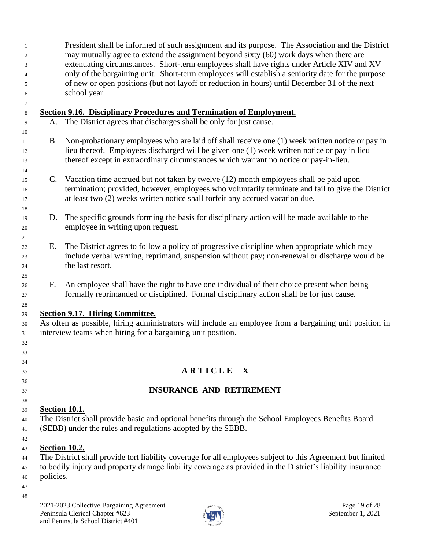President shall be informed of such assignment and its purpose. The Association and the District may mutually agree to extend the assignment beyond sixty (60) work days when there are extenuating circumstances. Short-term employees shall have rights under Article XIV and XV only of the bargaining unit. Short-term employees will establish a seniority date for the purpose of new or open positions (but not layoff or reduction in hours) until December 31 of the next school year.

2021-2023 Collective Bargaining Agreement **Page 19** of 28 Peninsula Clerical Chapter #623 September 1, 2021 and Peninsula School District #401 **Section 9.16. Disciplinary Procedures and Termination of Employment.**  A. The District agrees that discharges shall be only for just cause. B. Non-probationary employees who are laid off shall receive one (1) week written notice or pay in lieu thereof. Employees discharged will be given one (1) week written notice or pay in lieu thereof except in extraordinary circumstances which warrant no notice or pay-in-lieu. C. Vacation time accrued but not taken by twelve (12) month employees shall be paid upon termination; provided, however, employees who voluntarily terminate and fail to give the District at least two (2) weeks written notice shall forfeit any accrued vacation due. D. The specific grounds forming the basis for disciplinary action will be made available to the employee in writing upon request. E. The District agrees to follow a policy of progressive discipline when appropriate which may include verbal warning, reprimand, suspension without pay; non-renewal or discharge would be the last resort. F. An employee shall have the right to have one individual of their choice present when being formally reprimanded or disciplined. Formal disciplinary action shall be for just cause. **Section 9.17. Hiring Committee.** As often as possible, hiring administrators will include an employee from a bargaining unit position in interview teams when hiring for a bargaining unit position. **A R T I C L E X INSURANCE AND RETIREMENT Section 10.1.** The District shall provide basic and optional benefits through the School Employees Benefits Board (SEBB) under the rules and regulations adopted by the SEBB. **Section 10.2.** The District shall provide tort liability coverage for all employees subject to this Agreement but limited to bodily injury and property damage liability coverage as provided in the District's liability insurance policies.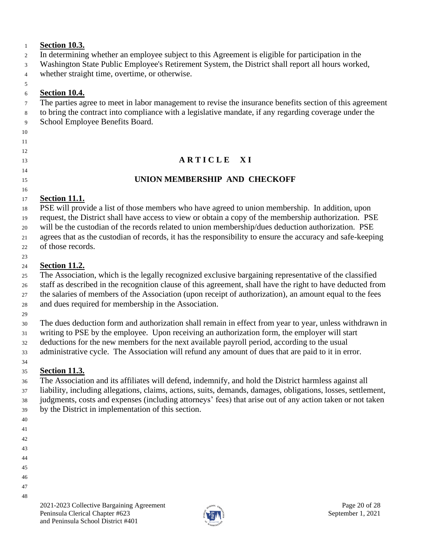### **Section 10.3.**

- In determining whether an employee subject to this Agreement is eligible for participation in the
- Washington State Public Employee's Retirement System, the District shall report all hours worked,
- whether straight time, overtime, or otherwise.

### 

### **Section 10.4.**

- The parties agree to meet in labor management to revise the insurance benefits section of this agreement
- to bring the contract into compliance with a legislative mandate, if any regarding coverage under the
- School Employee Benefits Board.
- 
- 

# 

### 

# **A R T I C L E** X I

# **UNION MEMBERSHIP AND CHECKOFF**

#### **Section 11.1.**

 PSE will provide a list of those members who have agreed to union membership. In addition, upon request, the District shall have access to view or obtain a copy of the membership authorization. PSE will be the custodian of the records related to union membership/dues deduction authorization. PSE agrees that as the custodian of records, it has the responsibility to ensure the accuracy and safe-keeping

of those records.

#### **Section 11.2.**

 The Association, which is the legally recognized exclusive bargaining representative of the classified staff as described in the recognition clause of this agreement, shall have the right to have deducted from the salaries of members of the Association (upon receipt of authorization), an amount equal to the fees and dues required for membership in the Association.

 The dues deduction form and authorization shall remain in effect from year to year, unless withdrawn in writing to PSE by the employee. Upon receiving an authorization form, the employer will start

- deductions for the new members for the next available payroll period, according to the usual
- administrative cycle. The Association will refund any amount of dues that are paid to it in error.

#### **Section 11.3.**

 The Association and its affiliates will defend, indemnify, and hold the District harmless against all liability, including allegations, claims, actions, suits, demands, damages, obligations, losses, settlement, judgments, costs and expenses (including attorneys' fees) that arise out of any action taken or not taken by the District in implementation of this section.

- 
- 
- 
- 
- 
- 
- 
- 

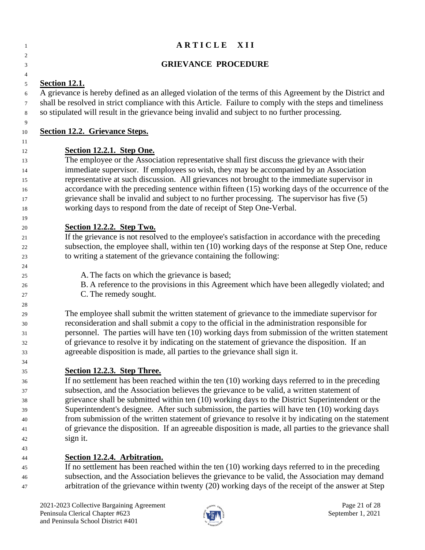| 1                                                  | ARTICLE XII                                                                                                                                                                                                                                                                                                                                                                                                                                                                                                                                                                                                                                                 |
|----------------------------------------------------|-------------------------------------------------------------------------------------------------------------------------------------------------------------------------------------------------------------------------------------------------------------------------------------------------------------------------------------------------------------------------------------------------------------------------------------------------------------------------------------------------------------------------------------------------------------------------------------------------------------------------------------------------------------|
| 2<br>3                                             | <b>GRIEVANCE PROCEDURE</b>                                                                                                                                                                                                                                                                                                                                                                                                                                                                                                                                                                                                                                  |
| 4<br>5<br>6<br>7<br>8                              | <b>Section 12.1.</b><br>A grievance is hereby defined as an alleged violation of the terms of this Agreement by the District and<br>shall be resolved in strict compliance with this Article. Failure to comply with the steps and timeliness<br>so stipulated will result in the grievance being invalid and subject to no further processing.                                                                                                                                                                                                                                                                                                             |
| 9<br>10                                            | <b>Section 12.2. Grievance Steps.</b>                                                                                                                                                                                                                                                                                                                                                                                                                                                                                                                                                                                                                       |
| 11<br>12<br>13<br>14<br>15<br>16<br>17             | Section 12.2.1. Step One.<br>The employee or the Association representative shall first discuss the grievance with their<br>immediate supervisor. If employees so wish, they may be accompanied by an Association<br>representative at such discussion. All grievances not brought to the immediate supervisor in<br>accordance with the preceding sentence within fifteen (15) working days of the occurrence of the<br>grievance shall be invalid and subject to no further processing. The supervisor has five (5)                                                                                                                                       |
| 18<br>19                                           | working days to respond from the date of receipt of Step One-Verbal.                                                                                                                                                                                                                                                                                                                                                                                                                                                                                                                                                                                        |
| 20<br>21<br>22<br>23                               | Section 12.2.2. Step Two.<br>If the grievance is not resolved to the employee's satisfaction in accordance with the preceding<br>subsection, the employee shall, within ten (10) working days of the response at Step One, reduce<br>to writing a statement of the grievance containing the following:                                                                                                                                                                                                                                                                                                                                                      |
| 24<br>25<br>26<br>27                               | A. The facts on which the grievance is based;<br>B. A reference to the provisions in this Agreement which have been allegedly violated; and<br>C. The remedy sought.                                                                                                                                                                                                                                                                                                                                                                                                                                                                                        |
| 28<br>29<br>30<br>31<br>32<br>33                   | The employee shall submit the written statement of grievance to the immediate supervisor for<br>reconsideration and shall submit a copy to the official in the administration responsible for<br>personnel. The parties will have ten (10) working days from submission of the written statement<br>of grievance to resolve it by indicating on the statement of grievance the disposition. If an<br>agreeable disposition is made, all parties to the grievance shall sign it.                                                                                                                                                                             |
| 34<br>35<br>36<br>37<br>38<br>39<br>40<br>41<br>42 | Section 12.2.3. Step Three.<br>If no settlement has been reached within the ten (10) working days referred to in the preceding<br>subsection, and the Association believes the grievance to be valid, a written statement of<br>grievance shall be submitted within ten (10) working days to the District Superintendent or the<br>Superintendent's designee. After such submission, the parties will have ten (10) working days<br>from submission of the written statement of grievance to resolve it by indicating on the statement<br>of grievance the disposition. If an agreeable disposition is made, all parties to the grievance shall<br>sign it. |
| 43<br>44<br>45<br>46                               | Section 12.2.4. Arbitration.<br>If no settlement has been reached within the ten $(10)$ working days referred to in the preceding<br>subsection, and the Association believes the grievance to be valid, the Association may demand                                                                                                                                                                                                                                                                                                                                                                                                                         |



arbitration of the grievance within twenty (20) working days of the receipt of the answer at Step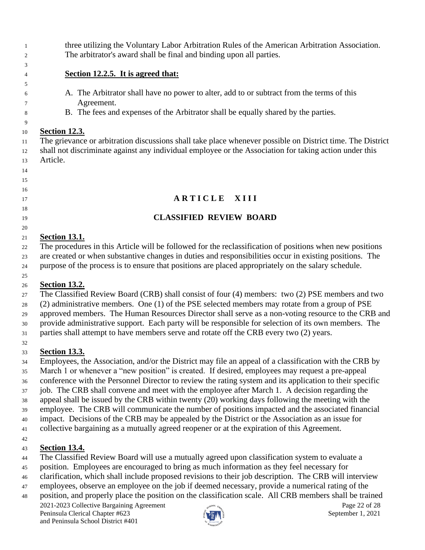three utilizing the Voluntary Labor Arbitration Rules of the American Arbitration Association. The arbitrator's award shall be final and binding upon all parties.

### **Section 12.2.5. It is agreed that:**

- A. The Arbitrator shall have no power to alter, add to or subtract from the terms of this Agreement.
- B. The fees and expenses of the Arbitrator shall be equally shared by the parties.

# **Section 12.3.**

 

 The grievance or arbitration discussions shall take place whenever possible on District time. The District shall not discriminate against any individual employee or the Association for taking action under this Article.

# **A R T I C L E X I I I**

# **CLASSIFIED REVIEW BOARD**

### **Section 13.1.**

 The procedures in this Article will be followed for the reclassification of positions when new positions are created or when substantive changes in duties and responsibilities occur in existing positions. The purpose of the process is to ensure that positions are placed appropriately on the salary schedule.

### **Section 13.2.**

 The Classified Review Board (CRB) shall consist of four (4) members: two (2) PSE members and two (2) administrative members. One (1) of the PSE selected members may rotate from a group of PSE approved members. The Human Resources Director shall serve as a non-voting resource to the CRB and provide administrative support. Each party will be responsible for selection of its own members. The parties shall attempt to have members serve and rotate off the CRB every two (2) years.

# **Section 13.3.**

 Employees, the Association, and/or the District may file an appeal of a classification with the CRB by March 1 or whenever a "new position" is created. If desired, employees may request a pre-appeal conference with the Personnel Director to review the rating system and its application to their specific job. The CRB shall convene and meet with the employee after March 1. A decision regarding the appeal shall be issued by the CRB within twenty (20) working days following the meeting with the employee. The CRB will communicate the number of positions impacted and the associated financial impact. Decisions of the CRB may be appealed by the District or the Association as an issue for collective bargaining as a mutually agreed reopener or at the expiration of this Agreement.

# **Section 13.4.**

- The Classified Review Board will use a mutually agreed upon classification system to evaluate a
- position. Employees are encouraged to bring as much information as they feel necessary for
- clarification, which shall include proposed revisions to their job description. The CRB will interview
- employees, observe an employee on the job if deemed necessary, provide a numerical rating of the
- 2021-2023 Collective Bargaining Agreement **Page 22** of 28 position, and properly place the position on the classification scale. All CRB members shall be trained

Peninsula Clerical Chapter #623 September 1, 2021 and Peninsula School District #401

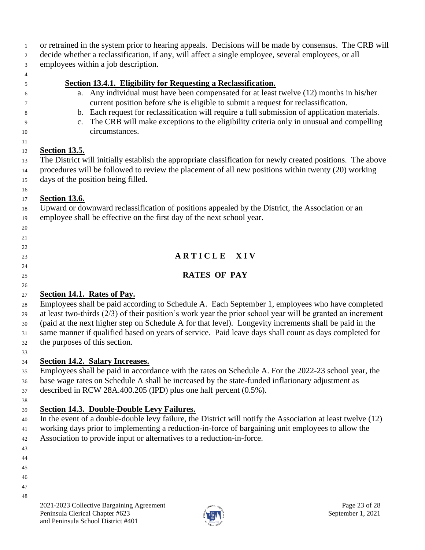- or retrained in the system prior to hearing appeals. Decisions will be made by consensus. The CRB will
- decide whether a reclassification, if any, will affect a single employee, several employees, or all
- employees within a job description.
- 

 

### **Section 13.4.1. Eligibility for Requesting a Reclassification.**

- a. Any individual must have been compensated for at least twelve (12) months in his/her current position before s/he is eligible to submit a request for reclassification.
- b. Each request for reclassification will require a full submission of application materials.
- c. The CRB will make exceptions to the eligibility criteria only in unusual and compelling circumstances.

### **Section 13.5.**

 The District will initially establish the appropriate classification for newly created positions. The above procedures will be followed to review the placement of all new positions within twenty (20) working days of the position being filled.

#### **Section 13.6.**

 Upward or downward reclassification of positions appealed by the District, the Association or an employee shall be effective on the first day of the next school year.

**A R T I C L E X I V**

# **RATES OF PAY**

# **Section 14.1. Rates of Pay.**

 Employees shall be paid according to Schedule A. Each September 1, employees who have completed at least two-thirds (2/3) of their position's work year the prior school year will be granted an increment (paid at the next higher step on Schedule A for that level). Longevity increments shall be paid in the same manner if qualified based on years of service. Paid leave days shall count as days completed for the purposes of this section.

**Section 14.2. Salary Increases.**

 Employees shall be paid in accordance with the rates on Schedule A. For the 2022-23 school year, the base wage rates on Schedule A shall be increased by the state-funded inflationary adjustment as described in RCW 28A.400.205 (IPD) plus one half percent (0.5%).

# **Section 14.3. Double-Double Levy Failures.**

 In the event of a double-double levy failure, the District will notify the Association at least twelve (12) working days prior to implementing a reduction-in-force of bargaining unit employees to allow the Association to provide input or alternatives to a reduction-in-force.

- 
- 
- 
- 
- 
- 

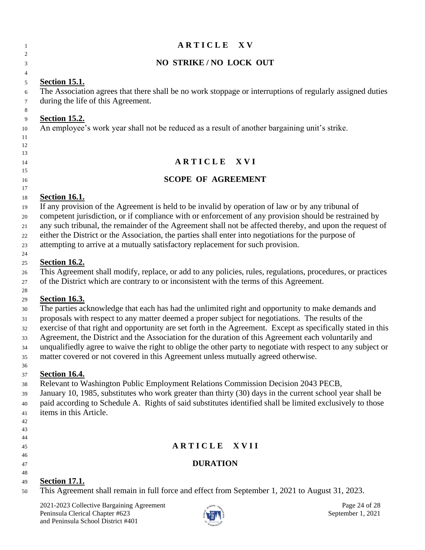# **A R T I C L E** X V **NO STRIKE / NO LOCK OUT Section 15.1.** The Association agrees that there shall be no work stoppage or interruptions of regularly assigned duties during the life of this Agreement.

**Section 15.2.**

 

An employee's work year shall not be reduced as a result of another bargaining unit's strike.

# **A R T I C L E** X V I

### **SCOPE OF AGREEMENT**

### **Section 16.1.**

 If any provision of the Agreement is held to be invalid by operation of law or by any tribunal of competent jurisdiction, or if compliance with or enforcement of any provision should be restrained by any such tribunal, the remainder of the Agreement shall not be affected thereby, and upon the request of either the District or the Association, the parties shall enter into negotiations for the purpose of attempting to arrive at a mutually satisfactory replacement for such provision.

### **Section 16.2.**

 This Agreement shall modify, replace, or add to any policies, rules, regulations, procedures, or practices of the District which are contrary to or inconsistent with the terms of this Agreement.

### **Section 16.3.**

The parties acknowledge that each has had the unlimited right and opportunity to make demands and

proposals with respect to any matter deemed a proper subject for negotiations. The results of the

exercise of that right and opportunity are set forth in the Agreement. Except as specifically stated in this

 Agreement, the District and the Association for the duration of this Agreement each voluntarily and unqualifiedly agree to waive the right to oblige the other party to negotiate with respect to any subject or

matter covered or not covered in this Agreement unless mutually agreed otherwise.

#### **Section 16.4.**

Relevant to Washington Public Employment Relations Commission Decision 2043 PECB,

 January 10, 1985, substitutes who work greater than thirty (30) days in the current school year shall be paid according to Schedule A. Rights of said substitutes identified shall be limited exclusively to those items in this Article.

- 
- 
- **A R T I C L E X V I I**
- **DURATION**
- 

# **Section 17.1.**

This Agreement shall remain in full force and effect from September 1, 2021 to August 31, 2023.

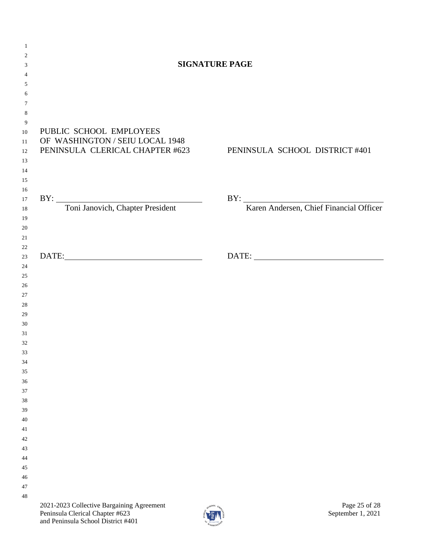| $\mathbf{1}$   |                                           |                                                                |
|----------------|-------------------------------------------|----------------------------------------------------------------|
| 2              |                                           |                                                                |
| 3              |                                           | <b>SIGNATURE PAGE</b>                                          |
| $\overline{4}$ |                                           |                                                                |
| 5              |                                           |                                                                |
| 6              |                                           |                                                                |
| $\tau$         |                                           |                                                                |
| 8              |                                           |                                                                |
| 9              | PUBLIC SCHOOL EMPLOYEES                   |                                                                |
| 10<br>11       | OF WASHINGTON / SEIU LOCAL 1948           |                                                                |
| 12             |                                           | PENINSULA CLERICAL CHAPTER #623 PENINSULA SCHOOL DISTRICT #401 |
| 13             |                                           |                                                                |
| 14             |                                           |                                                                |
| 15             |                                           |                                                                |
| 16             |                                           |                                                                |
| 17             |                                           |                                                                |
| 18             | BY: Toni Janovich, Chapter President      | BY: Karen Andersen, Chief Financial Officer                    |
| 19             |                                           |                                                                |
| 20             |                                           |                                                                |
| 21             |                                           |                                                                |
| $22\,$         |                                           |                                                                |
| $23\,$         | DATE:                                     |                                                                |
| 24             |                                           |                                                                |
| 25             |                                           |                                                                |
| 26             |                                           |                                                                |
| 27             |                                           |                                                                |
| 28             |                                           |                                                                |
| 29             |                                           |                                                                |
| 30<br>31       |                                           |                                                                |
| 32             |                                           |                                                                |
| 33             |                                           |                                                                |
| 34             |                                           |                                                                |
| 35             |                                           |                                                                |
| 36             |                                           |                                                                |
| 37             |                                           |                                                                |
| 38             |                                           |                                                                |
| 39             |                                           |                                                                |
| 40             |                                           |                                                                |
| 41             |                                           |                                                                |
| 42             |                                           |                                                                |
| 43             |                                           |                                                                |
| 44             |                                           |                                                                |
| 45             |                                           |                                                                |
| 46             |                                           |                                                                |
| 47             |                                           |                                                                |
| 48             |                                           |                                                                |
|                | 2021-2023 Collective Bargaining Agreement | Page 25 of 28<br>$\propto$ <sup>NOOL</sup> $\varepsilon_{b}$   |

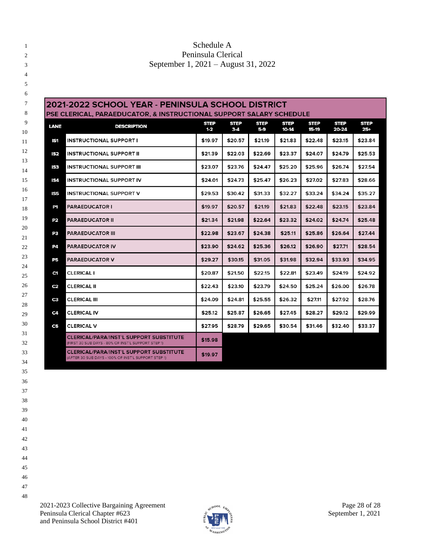### 1 Schedule A Peninsula Clerical September 1, 2021 – August 31, 2022

| <b>LANE</b>     | <b>DESCRIPTION</b>                                                                                    | <b>STEP</b><br>$1-2$ | <b>STEP</b><br>$3-4$ | <b>STEP</b><br>5-9 | <b>STEP</b><br>10-14 | <b>STEP</b><br>15-19 | <b>STEP</b><br>20-24 | <b>STEP</b><br>25+ |
|-----------------|-------------------------------------------------------------------------------------------------------|----------------------|----------------------|--------------------|----------------------|----------------------|----------------------|--------------------|
| SI              | INSTRUCTIONAL SUPPORT I                                                                               | \$19.97              | \$20.57              | \$21.19            | \$21.83              | \$22.48              | \$23.15              | \$23.84            |
| IS <sub>2</sub> | <b>INSTRUCTIONAL SUPPORT II</b>                                                                       | \$21.39              | \$22.03              | \$22.69            | \$23.37              | \$24.07              | \$24.79              | \$25.53            |
| 53              | <b>INSTRUCTIONAL SUPPORT III</b>                                                                      | \$23.07              | \$23.76              | \$24.47            | \$25.20              | \$25.96              | \$26.74              | \$27.54            |
| IS4             | <b>INSTRUCTIONAL SUPPORT IV</b>                                                                       | \$24.01              | \$24.73              | \$25.47            | \$26.23              | \$27.02              | \$27.83              | \$28.66            |
| IS5             | <b>INSTRUCTIONAL SUPPORT V</b>                                                                        | \$29.53              | \$30.42              | \$31.33            | \$32.27              | \$33.24              | \$34.24              | \$35.27            |
| P1              | <b>PARAEDUCATOR I</b>                                                                                 | \$19.97              | \$20.57              | \$21.19            | \$21.83              | \$22.48              | \$23.15              | \$23.84            |
| P2              | PARAEDUCATOR II                                                                                       | \$21.34              | \$21.98              | \$22.64            | \$23.32              | \$24.02              | \$24.74              | \$25.48            |
| P3              | PARAEDUCATOR III                                                                                      | \$22.98              | \$23.67              | \$24.38            | \$25.11              | \$25.86              | \$26.64              | \$27.44            |
| P4              | <b>PARAEDUCATOR IV</b>                                                                                | \$23.90              | \$24.62              | \$25.36            | \$26.12              | \$26.90              | \$27.71              | \$28.54            |
| P5              | <b>PARAEDUCATOR V</b>                                                                                 | \$29.27              | \$30.15              | \$31.05            | \$31.98              | \$32.94              | \$33.93              | \$34.95            |
| C1              | <b>CLERICAL I</b>                                                                                     | \$20.87              | \$21.50              | \$22.15            | \$22.81              | \$23.49              | \$24.19              | \$24.92            |
| C2              | <b>CLERICAL II</b>                                                                                    | \$22.43              | \$23.10              | \$23.79            | \$24.50              | \$25.24              | \$26.00              | \$26.78            |
| C3              | <b>CLERICAL III</b>                                                                                   | \$24.09              | \$24.81              | \$25.55            | \$26.32              | \$27.11              | \$27.92              | \$28.76            |
| C4              | CLERICAL IV                                                                                           | \$25.12              | \$25.87              | \$26.65            | \$27.45              | \$28.27              | \$29.12              | \$29.99            |
| C5              | <b>CLERICAL V</b>                                                                                     | \$27.95              | \$28.79              | \$29.65            | \$30.54              | \$31.46              | \$32.40              | \$33.37            |
|                 | <b>CLERICAL/PARA/INST'L SUPPORT SUBSTITUTE</b><br>(FIRST 30 SUB DAYS - 80% OF INST'L SUPPORT STEP 1)  | \$15.98              |                      |                    |                      |                      |                      |                    |
|                 | <b>CLERICAL/PARA/INST'L SUPPORT SUBSTITUTE</b><br>(AFTER 30 SUB DAYS - 100% OF INST'L SUPPORT STEP 1) | \$19.97              |                      |                    |                      |                      |                      |                    |

 

- 
- 
-